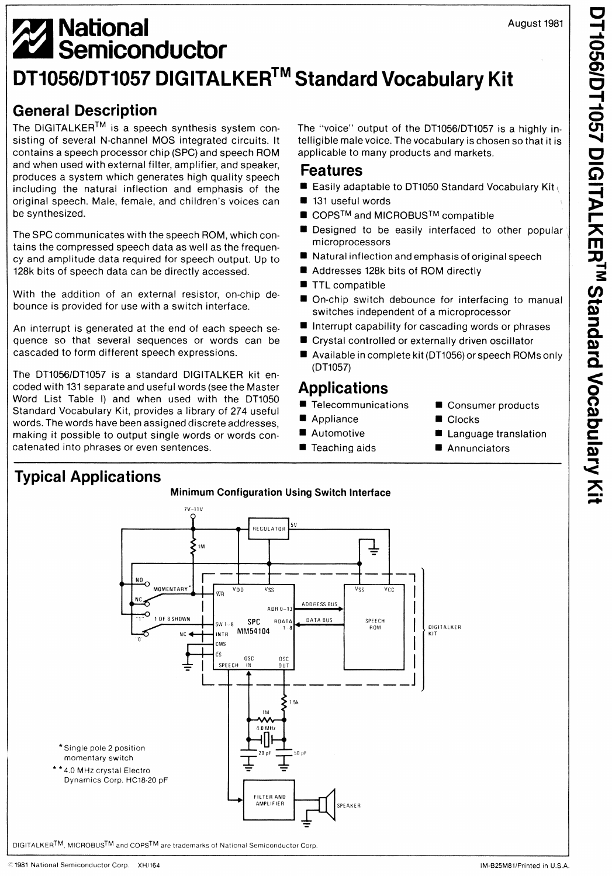# **A<sub>2</sub>** National <sup>~</sup>**Semiconductor DT1056/DT1057 DIGITALKER™ Standard Vocabulary Kit**

# **General Description**

The DIGITALKER™ is a speech synthesis system consisting of several N-channel MOS integrated circuits. It contains a speech processor chip (SPC) and speech ROM and when used with external filter, amplifier, and speaker, produces a system which generates high quality speech including the natural inflection and emphasis of the original speech. Male, female, and children's voices can be synthesized.

The SPC communicates with the speech ROM, which contains the compressed speech data as well as the frequency and amplitude data required for speech output. Up to 128k bits of speech data can be directly accessed.

With the addition of an external resistor, on-chip debounce is provided for use with a switch interface.

An interrupt is generated at the end of each speech sequence so that several sequences or words can be cascaded to form different speech expressions.

The DT1056/DT1057 is a standard DIGITALKER kit encoded with 131 separate and useful words (see the Master Word List Table I) and when used with the DT1050 Standard Vocabulary Kit, provides a library of 274 useful words. The words have been assigned discrete addresses, making it possible to output single words or words concatenated into phrases or even sentences.

The "voice" output of the DT1056/DT1057 is a highly intelligible male voice. The vocabulary is chosen so that it is applicable to many products and markets.

### **Features**

- Easily adaptable to DT1050 Standard Vocabulary Kit
- 131 useful words
- COPS<sup>TM</sup> and MICROBUS<sup>TM</sup> compatible
- Designed to be easily interfaced to other popular microprocessors
- Natural inflection and emphasis of original speech
- Addresses 128k bits of ROM directly
- TTL compatible
- On-chip switch debounce for interfacing to manual switches independent of a microprocessor
- Interrupt capability for cascading words or phrases
- Crystal controlled or externally driven oscillator
- Available in complete kit (DT1056) or speech ROMs only (DT1057)

# **Applications**

- Telecommunications
- Appliance Clocks
- Automotive
- Teaching aids Annunciators
- Consumer products
- 
- Language translation
- 

# **Typical Applications**



DIGITALKER™, MICROBUS™ and COPS™ are trademarks of National Semiconductor Corp.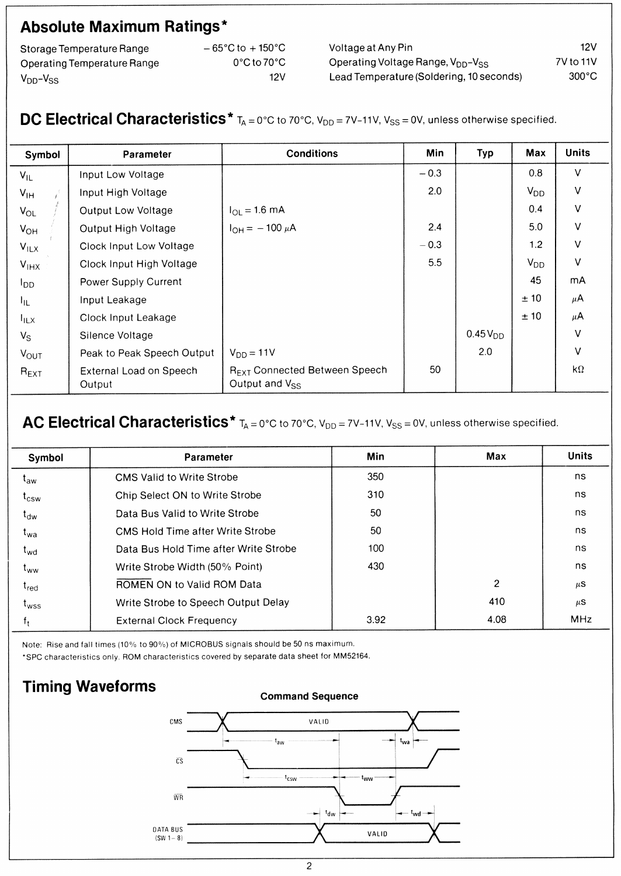# **Absolute Maximum Ratings\***

| Storage Temperature Range   |
|-----------------------------|
| Operating Temperature Range |
| $V_{DD} - V_{SS}$           |

- 65°C to + 150°C 0°Cto 70°C 12V

Voltage at Any Pin Operating Voltage Range, V<sub>DD</sub>-V<sub>SS</sub> Lead Temperature (Soldering, 10 seconds) 12V 7V to 11V 300°C

# **DC Electrical Characteristics\***  $T_A = 0^\circ$ C to 70°C, V<sub>DD</sub> = 7V-11V, V<sub>SS</sub> = 0V, unless otherwise specified.

| Symbol           | Parameter                         | <b>Conditions</b>                                                | Min    | Typ                 | Max      | <b>Units</b> |
|------------------|-----------------------------------|------------------------------------------------------------------|--------|---------------------|----------|--------------|
| $V_{IL}$         | Input Low Voltage                 |                                                                  | $-0.3$ |                     | 0.8      | $\vee$       |
| $V_{\text{IH}}$  | Input High Voltage                |                                                                  | 2.0    |                     | $V_{DD}$ | $\vee$       |
| $V_{OL}$         | Output Low Voltage                | $I_{OL} = 1.6$ mA                                                |        |                     | 0.4      | $\vee$       |
| $V_{OH}$         | Output High Voltage               | $I_{OH} = -100 \mu A$                                            | 2.4    |                     | 5.0      | $\vee$       |
| $V_{ILX}$        | Clock Input Low Voltage           |                                                                  | $-0.3$ |                     | 1.2      | $\vee$       |
| $V_{HX}$         | Clock Input High Voltage          |                                                                  | 5.5    |                     | $V_{DD}$ | $\vee$       |
| $I_{DD}$         | Power Supply Current              |                                                                  |        |                     | 45       | <b>mA</b>    |
| $I_{\rm IL}$     | Input Leakage                     |                                                                  |        |                     | ± 10     | $\mu$ A      |
| $I_{\rm IUX}$    | Clock Input Leakage               |                                                                  |        |                     | ± 10     | $\mu$ A      |
| $V_S$            | Silence Voltage                   |                                                                  |        | 0.45V <sub>DD</sub> |          | $\vee$       |
| $V_{\text{OUT}}$ | Peak to Peak Speech Output        | $V_{DD} = 11V$                                                   |        | 2.0                 |          | $\vee$       |
| $R_{\text{EXT}}$ | External Load on Speech<br>Output | R <sub>EXT</sub> Connected Between Speech<br>Output and $V_{SS}$ | 50     |                     |          | $k\Omega$    |

# AC Electrical Characteristics<sup>\*</sup>  $T_A = 0^\circ$ C to 70°C, V<sub>DD</sub> = 7V-11V, V<sub>SS</sub> = 0V, unless otherwise specified.

| Symbol           | Parameter                               | Min  | Max            | <b>Units</b> |
|------------------|-----------------------------------------|------|----------------|--------------|
| $t_{aw}$         | <b>CMS Valid to Write Strobe</b>        | 350  |                | ns.          |
| $t_{\text{csw}}$ | Chip Select ON to Write Strobe          | 310  |                | ns.          |
| $t_{dw}$         | Data Bus Valid to Write Strobe          | 50   |                | ns           |
| t <sub>wa</sub>  | <b>CMS Hold Time after Write Strobe</b> | 50   |                | ns           |
| $t_{wd}$         | Data Bus Hold Time after Write Strobe   | 100  |                | ns.          |
| t <sub>ww</sub>  | Write Strobe Width (50% Point)          | 430  |                | ns.          |
| $t_{\text{red}}$ | ROMEN ON to Valid ROM Data              |      | $\overline{c}$ | $\mu$ S      |
| $t_{\text{wss}}$ | Write Strobe to Speech Output Delay     |      | 410            | $\mu$ S      |
|                  | <b>External Clock Frequency</b>         | 3.92 | 4.08           | <b>MHz</b>   |

Note: Rise and fall times (10% to 90%) of MICROBUS signals should be 50 ns maximum.

\*SPC characteristics only. ROM characteristics covered by separate data sheet for MM52164.

# **Timing Waveforms**

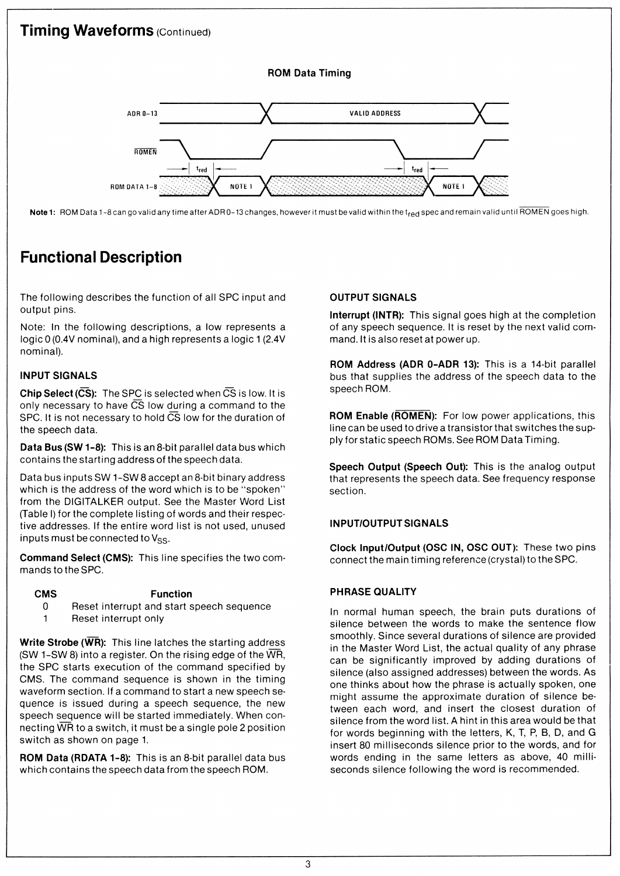

Note 1: ROM Data 1-8 can go valid any time after ADR 0-13 changes, however it must be valid within the t<sub>red</sub> spec and remain valid until ROMEN goes high.

# **Functional Description**

The following describes the function of all SPC input and output pins.

Note: In the following descriptions, a low represents a logic O (0.4V nominal), and a high represents a logic 1 (2.4V nominal).

#### **INPUT SIGNALS**

**Chip Select (CS):** The SPC is selected when CS is low. It is only necessary to have  $\overline{CS}$  low during a command to the SPC. It is not necessary to hold CS low for the duration of the speech data.

**Data Bus (SW 1-8):** This is an 8-bit parallel data bus which contains the starting address of the speech data.

Data bus inputs SW 1-SW 8 accept an 8-bit binary address which is the address of the word which is to be "spoken" from the DIGITALKER output. See the Master Word List (Table I) for the complete listing of words and their respective addresses. If the entire word list is not used, unused inputs must be connected to  $V_{SS}$ .

**Command Select (CMS):** This line specifies the two commands to the SPC.

#### **CMS Function**

- 0 Reset interrupt and start speech sequence
- 1 Reset interrupt only

**Write Strobe (WR):** This line latches the starting address (SW 1-SW 8) into a register. On the rising edge of the  $\overline{WR}$ , the SPC starts execution of the command specified by **CMS.** The command sequence is shown in the timing waveform section. If a command to start a new speech sequence is issued during a speech sequence, the new speech sequence will be started immediately. When connecting  $\overline{WR}$  to a switch, it must be a single pole 2 position switch as shown on page 1.

**ROM Data (RDATA 1-8):** This is an 8-bit parallel data bus which contains the speech data from the speech ROM.

#### **OUTPUT SIGNALS**

**Interrupt (INTR):** This signal goes high at the completion of any speech sequence. It is reset by the next valid command. It is also reset at power up.

**ROM Address (ADR 0-ADR 13):** This is a 14-bit parallel bus that supplies the address of the speech data to the speech ROM.

**ROM Enable (ROMEN):** For low power applications, this line can be used to drive a transistor that switches the supply for static speech ROMs. See ROM Data Timing.

**Speech Output (Speech Out):** This is the analog output that represents the speech data. See frequency response section.

#### **IN PUT/OUTPUT SIGNALS**

**Clock Input/Output (OSC IN, OSC OUT):** These two pins connect the main timing reference (crystal) to the SPC.

#### **PHRASE QUALITY**

In normal human speech, the brain puts durations of silence between the words to make the sentence flow smoothly. Since several durations of silence are provided in the Master Word List, the actual quality of any phrase can be significantly improved by adding durations of silence (also assigned addresses) between the words. As one thinks about how the phrase is actually spoken, one might assume the approximate duration of silence between each word, and insert the closest duration of silence from the word list. A hint in this area would be that for words beginning with the letters, K, T, P, B, D, and G insert 80 milliseconds silence prior to the words, and for words ending in the same letters as above, 40 milliseconds silence following the word is recommended.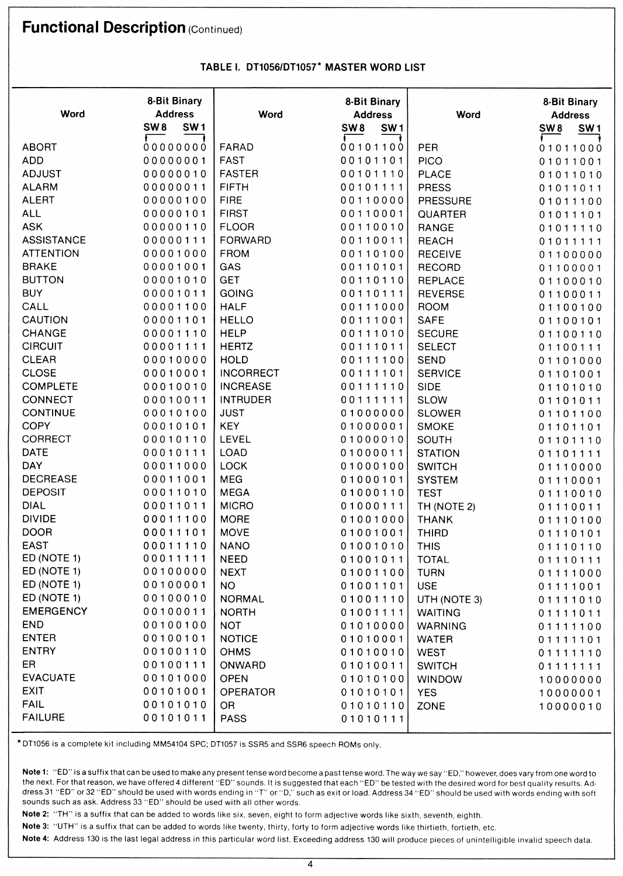# **Functional Description** (Continued)

Т

|                   | <b>8-Bit Binary</b>                |                  | <b>8-Bit Binary</b>                |                 | <b>8-Bit Binary</b>                |
|-------------------|------------------------------------|------------------|------------------------------------|-----------------|------------------------------------|
| <b>Word</b>       | <b>Address</b>                     | Word             | <b>Address</b>                     | Word            | <b>Address</b>                     |
|                   | SW <sub>8</sub><br>SW <sub>1</sub> |                  | SW <sub>8</sub><br>SW <sub>1</sub> |                 | SW <sub>1</sub><br>SW <sub>8</sub> |
| <b>ABORT</b>      | 00000000                           | FARAD            | 00101100                           | <b>PER</b>      | 01011000                           |
| <b>ADD</b>        | 00000001                           | <b>FAST</b>      | 00101101                           | <b>PICO</b>     | 01011001                           |
| <b>ADJUST</b>     | 00000010                           | <b>FASTER</b>    | 00101110                           | <b>PLACE</b>    | 01011010                           |
| <b>ALARM</b>      | 00000011                           | <b>FIFTH</b>     | 00101111                           | <b>PRESS</b>    | 01011011                           |
| <b>ALERT</b>      | 00000100                           | <b>FIRE</b>      | 00110000                           | <b>PRESSURE</b> | 01011100                           |
| <b>ALL</b>        | 00000101                           | <b>FIRST</b>     | 00110001                           | QUARTER         | 01011101                           |
| <b>ASK</b>        | 00000110                           | <b>FLOOR</b>     | 00110010                           | <b>RANGE</b>    | 01011110                           |
| <b>ASSISTANCE</b> | 00000111                           | <b>FORWARD</b>   | 00110011                           | <b>REACH</b>    | 01011111                           |
| <b>ATTENTION</b>  | 00001000                           | <b>FROM</b>      | 00110100                           | <b>RECEIVE</b>  | 01100000                           |
| <b>BRAKE</b>      | 00001001                           | GAS              | 00110101                           | <b>RECORD</b>   | 01100001                           |
| <b>BUTTON</b>     | 00001010                           | <b>GET</b>       | 00110110                           | REPLACE         | 01100010                           |
| <b>BUY</b>        | 00001011                           | <b>GOING</b>     | 00110111                           | <b>REVERSE</b>  | 01100011                           |
| CALL              | 00001100                           | <b>HALF</b>      | 00111000                           | <b>ROOM</b>     | 01100100                           |
| <b>CAUTION</b>    | 00001101                           | <b>HELLO</b>     | 00111001                           | <b>SAFE</b>     | 01100101                           |
| <b>CHANGE</b>     | 00001110                           | <b>HELP</b>      | 00111010                           | <b>SECURE</b>   | 01100110                           |
| <b>CIRCUIT</b>    | 00001111                           | <b>HERTZ</b>     | 00111011                           | <b>SELECT</b>   | 01100111                           |
| <b>CLEAR</b>      | 00010000                           | <b>HOLD</b>      | 00111100                           | <b>SEND</b>     | 01101000                           |
| <b>CLOSE</b>      | 00010001                           | <b>INCORRECT</b> | 00111101                           | <b>SERVICE</b>  | 01101001                           |
| <b>COMPLETE</b>   | 00010010                           | <b>INCREASE</b>  | 00111110                           | <b>SIDE</b>     | 01101010                           |
| <b>CONNECT</b>    | 00010011                           | <b>INTRUDER</b>  | 00111111                           | <b>SLOW</b>     | 01101011                           |
| <b>CONTINUE</b>   | 00010100                           | <b>JUST</b>      | 01000000                           | <b>SLOWER</b>   | 01101100                           |
| <b>COPY</b>       | 00010101                           | <b>KEY</b>       | 01000001                           | <b>SMOKE</b>    | 01101101                           |
| CORRECT           | 00010110                           | LEVEL            | 01000010                           | <b>SOUTH</b>    | 01101110                           |
| <b>DATE</b>       | 00010111                           | <b>LOAD</b>      | 01000011                           | <b>STATION</b>  | 01101111                           |
| <b>DAY</b>        | 00011000                           | <b>LOCK</b>      | 01000100                           | <b>SWITCH</b>   | 01110000                           |
| <b>DECREASE</b>   | 00011001                           | <b>MEG</b>       | 01000101                           | <b>SYSTEM</b>   | 01110001                           |
| <b>DEPOSIT</b>    | 00011010                           | <b>MEGA</b>      | 01000110                           | <b>TEST</b>     | 01110010                           |
| <b>DIAL</b>       | 00011011                           | <b>MICRO</b>     | 01000111                           | TH (NOTE 2)     | 01110011                           |
| <b>DIVIDE</b>     | 00011100                           | <b>MORE</b>      | 01001000                           | <b>THANK</b>    | 01110100                           |
| <b>DOOR</b>       | 00011101                           | <b>MOVE</b>      | 01001001                           | <b>THIRD</b>    | 01110101                           |
| <b>EAST</b>       | 00011110                           | <b>NANO</b>      | 01001010                           | <b>THIS</b>     | 01110110                           |
| ED (NOTE 1)       | 00011111                           | <b>NEED</b>      | 01001011                           | <b>TOTAL</b>    | 01110111                           |
| ED (NOTE 1)       | 00100000                           | <b>NEXT</b>      | 01001100                           | <b>TURN</b>     | 01111000                           |
| ED (NOTE 1)       | 00100001                           | NO.              | 01001101                           | <b>USE</b>      | 01111001                           |
| ED (NOTE 1)       | 00100010                           | <b>NORMAL</b>    | 01001110                           | UTH (NOTE 3)    | 01111010                           |
| <b>EMERGENCY</b>  | 00100011                           | <b>NORTH</b>     | 01001111                           | <b>WAITING</b>  | 01111011                           |
| <b>END</b>        | 00100100                           | <b>NOT</b>       | 01010000                           | <b>WARNING</b>  | 01111100                           |
| <b>ENTER</b>      | 00100101                           | <b>NOTICE</b>    | 01010001                           | <b>WATER</b>    | 01111101                           |
| <b>ENTRY</b>      | 00100110                           | <b>OHMS</b>      | 01010010                           | <b>WEST</b>     | 01111110                           |
| ER                | 00100111                           | ONWARD           | 01010011                           | <b>SWITCH</b>   | 01111111                           |
| <b>EVACUATE</b>   | 00101000                           | <b>OPEN</b>      | 01010100                           | <b>WINDOW</b>   | 10000000                           |
| <b>EXIT</b>       | 00101001                           | <b>OPERATOR</b>  | 01010101                           | <b>YES</b>      | 10000001                           |
| <b>FAIL</b>       | 00101010                           | <b>OR</b>        | 01010110                           | ZONE            | 10000010                           |
| <b>FAILURE</b>    | 00101011                           | <b>PASS</b>      | 01010111                           |                 |                                    |

#### **TABLE** I. **DT1056/DT1057\* MASTER WORD LIST**

т

\* DT1056 is a complete kit including MM54104 SPC; DT1057 is SSR5 and SSR6 speech ROMs only.

**Note 1:** "ED" is a suffix that can be used to make any present tense word become a past tense word. The way we say "ED," however, does vary from one word to the next. For that reason, we have offered 4 different "ED" sounds. It is suggested that each "ED" be tested with the desired word for best quality results. Address 31 "ED" or 32 "ED" should be used with words ending in "T" or "D," such as exit or load. Address 34 "ED" should be used with words ending with soft sounds such as ask. Address 33 "ED" should be used with all other words.

**Note 2:** "TH" is a suffix that can be added to words like six, seven, eight to form adjective words like sixth, seventh, eighth.

**Note 3:** "UTH" is a suffix that can be added to words like twenty, thirty, forty to form adjective words like thirtieth, fortieth, etc.

**Note 4:** Address 130 is the last legal address in this particular word list. Exceeding address 130 will produce pieces of unintelligible invalid speech data.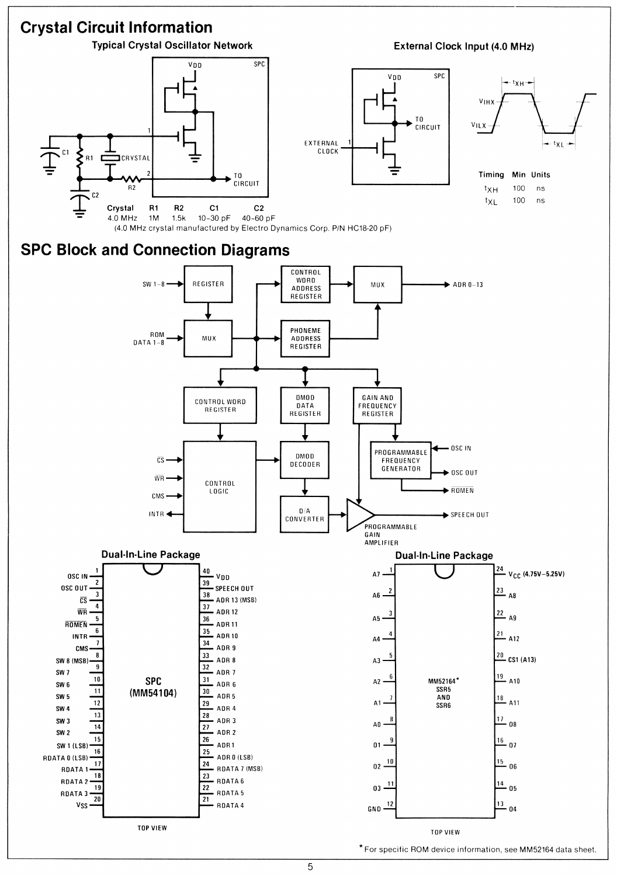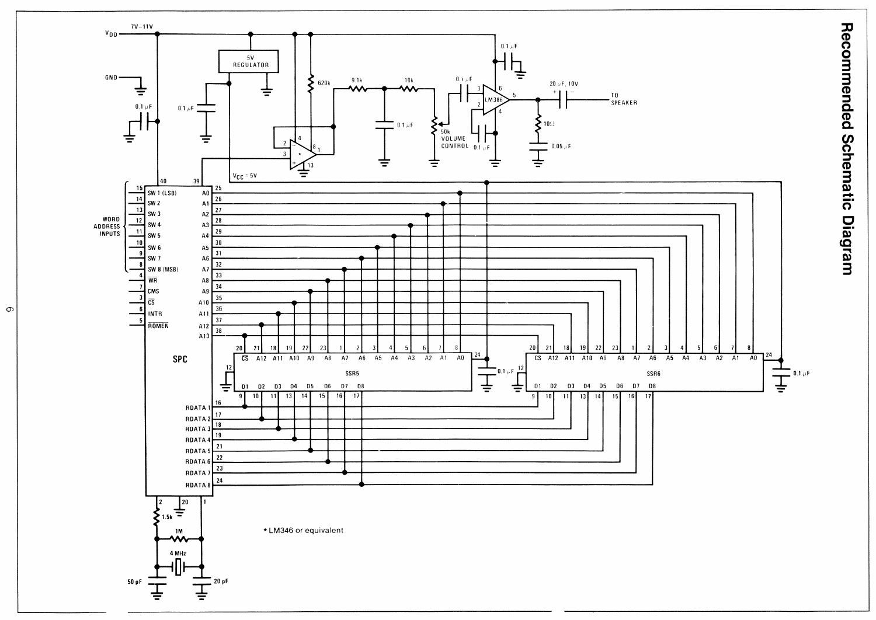

 $\infty$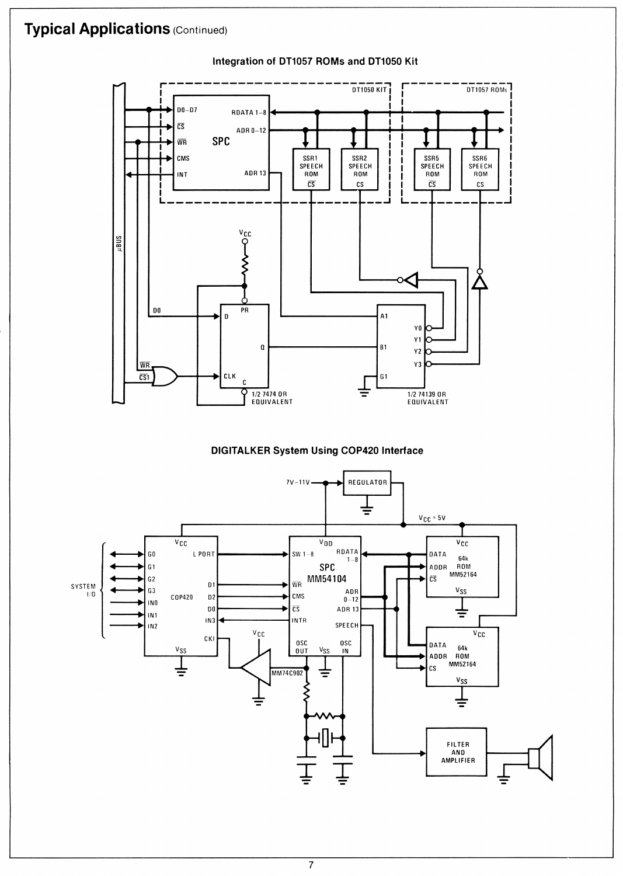# **Typical Applications (Continued)**

#### Integration of DT1057 ROMs and DT1050 Kit



**DIGITALKER System Using COP420 Interface**